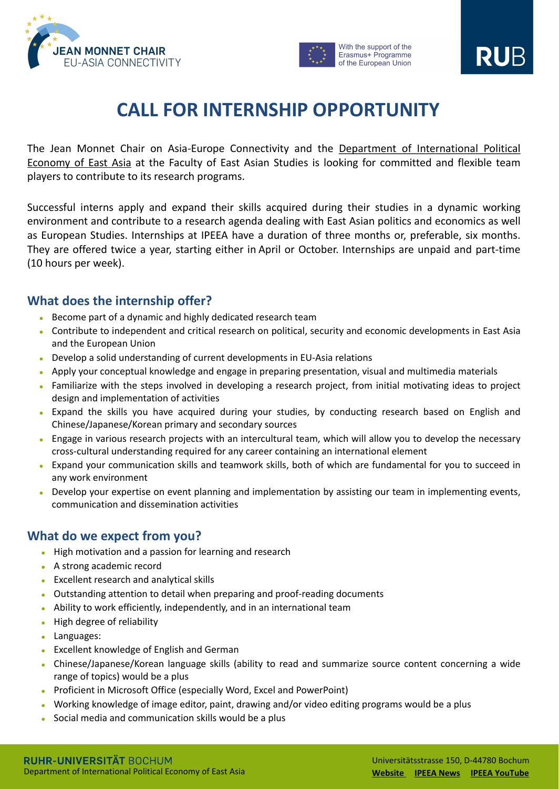



With the support of the Erasmus+ Programme of the European Union

RUB.

#### **RUHR-UNIVERSITÄT BOCHUM** Department of International Political Economy of East Asia

Universitätsstrasse 150, D-44780 Bochum **[Website](https://www.ruhr-uni-bochum.de/ipea/en/JMC2/index2.shtml) [IPEEA](https://www.ruhr-uni-bochum.de/ipea/en/welcome.shtml) News IPEEA [YouTube](https://www.youtube.com/channel/UCH6VnXtIl3FmY7uJaYMCmig/about)**

The Jean Monnet Chair on Asia-Europe Connectivity and the Department of [International](https://www.ruhr-uni-bochum.de/ipea/de/index.shtml) Political Economy of East Asia at the Faculty of East Asian Studies is looking for committed and flexible team players to contribute to its research programs.

Successful interns apply and expand their skills acquired during their studies in a dynamic working environment and contribute to a research agenda dealing with East Asian politics and economics as well as European Studies. Internships at IPEEA have a duration of three months or, preferable, six months. They are offered twice a year, starting either in April or October. Internships are unpaid and part-time (10 hours per week).

## **What does the internship offer?**

- ⚫ Become part of a dynamic and highly dedicated research team
- ⚫ Contribute to independent and critical research on political, security and economic developments in East Asia and the European Union
- ⚫ Develop a solid understanding of current developments in EU-Asia relations
- ⚫ Apply your conceptual knowledge and engage in preparing presentation, visual and multimedia materials
- ⚫ Familiarize with the steps involved in developing a research project, from initial motivating ideas to project design and implementation of activities
- ⚫ Expand the skills you have acquired during your studies, by conducting research based on English and
	- Chinese/Japanese/Korean primary and secondary sources
- ⚫ Engage in various research projects with an intercultural team, which will allow you to develop the necessary cross-cultural understanding required for any career containing an international element
- ⚫ Expand your communication skills and teamwork skills, both of which are fundamental for you to succeed in any work environment
- Develop your expertise on event planning and implementation by assisting our team in implementing events, communication and dissemination activities

### **What do we expect from you?**

- ⚫ High motivation and a passion for learning and research
- ⚫ A strong academic record
- ⚫ Excellent research and analytical skills
- ⚫ Outstanding attention to detail when preparing and proof-reading documents
- ⚫ Ability to work efficiently, independently, and in an international team
- ⚫ High degree of reliability
- ⚫ Languages:
- ⚫ Excellent knowledge of English and German
- ⚫ Chinese/Japanese/Korean language skills (ability to read and summarize source content concerning a wide range of topics) would be a plus
- ⚫ Proficient in Microsoft Office (especially Word, Excel and PowerPoint)
- ⚫ Working knowledge of image editor, paint, drawing and/or video editing programs would be a plus
- ⚫ Social media and communication skills would be a plus

## **CALL FOR INTERNSHIP OPPORTUNITY**